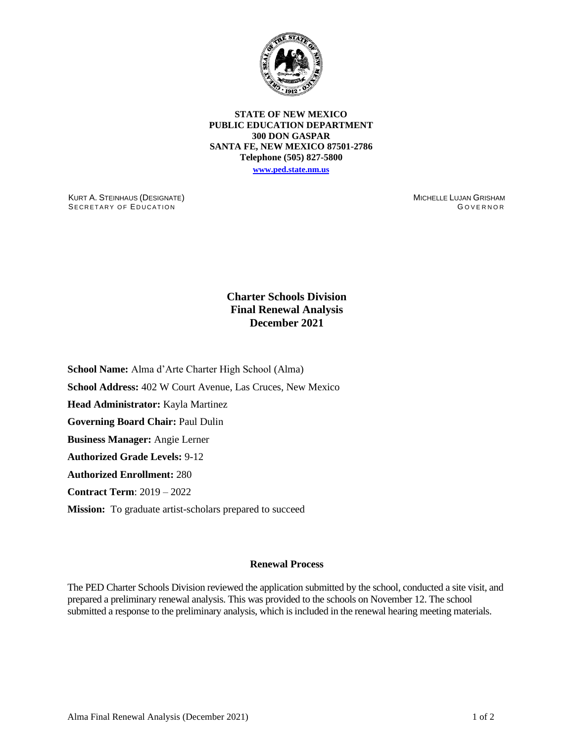

**STATE OF NEW MEXICO PUBLIC EDUCATION DEPARTMENT 300 DON GASPAR SANTA FE, NEW MEXICO 87501-2786 Telephone (505) 827-5800 [www.ped.state.nm.us](http://webnew.ped.state.nm.us/)**

KURT A. STEINHAUS (DESIGNATE) SECRETARY OF EDUCATION

MICHELLE LUJAN GRISHAM GOVERNOR

## **Charter Schools Division Final Renewal Analysis December 2021**

**School Name:** Alma d'Arte Charter High School (Alma)

**School Address:** 402 W Court Avenue, Las Cruces, New Mexico

**Head Administrator:** Kayla Martinez

**Governing Board Chair:** Paul Dulin

**Business Manager:** Angie Lerner

**Authorized Grade Levels:** 9-12

**Authorized Enrollment:** 280

**Contract Term**: 2019 – 2022

**Mission:** To graduate artist-scholars prepared to succeed

## **Renewal Process**

The PED Charter Schools Division reviewed the application submitted by the school, conducted a site visit, and prepared a preliminary renewal analysis. This was provided to the schools on November 12. The school submitted a response to the preliminary analysis, which is included in the renewal hearing meeting materials.